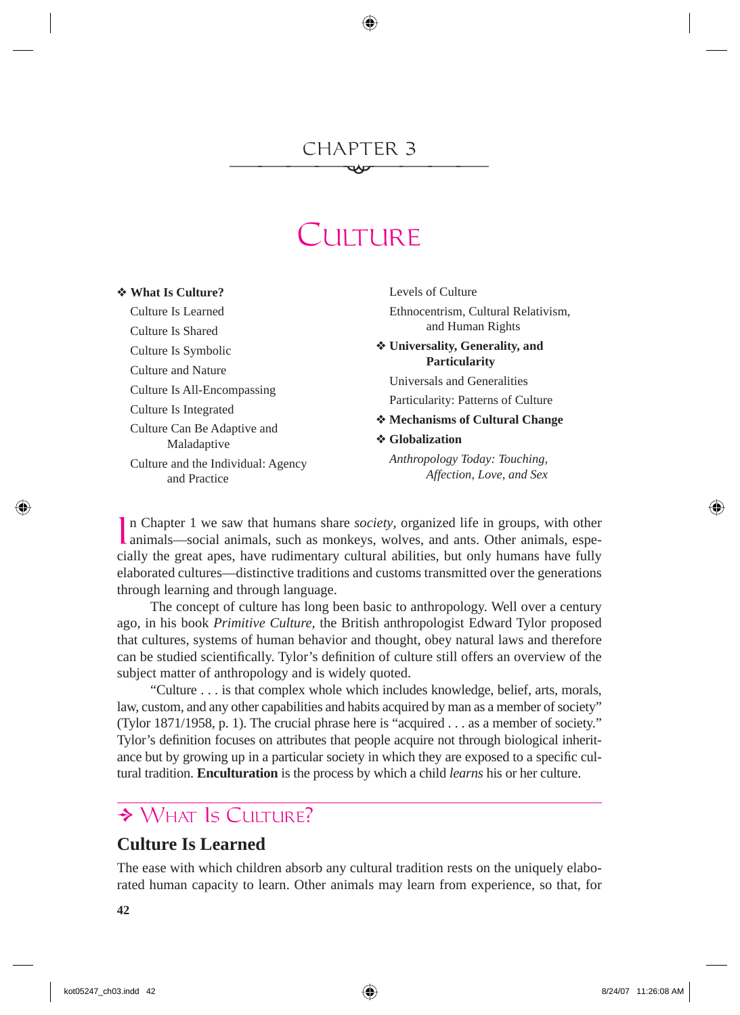# - CHAPTER 3

## $C$ ulture

#### ❖ **What Is Culture?**

 Culture Is Learned Culture Is Shared Culture Is Symbolic Culture and Nature Culture Is All-Encompassing Culture Is Integrated Culture Can Be Adaptive and Maladaptive Culture and the Individual: Agency and Practice

Levels of Culture

 Ethnocentrism, Cultural Relativism, and Human Rights

❖ **Universality, Generality, and Particularity** 

 Universals and Generalities Particularity: Patterns of Culture

- ❖ **Mechanisms of Cultural Change**
- ❖ **Globalization**

 *Anthropology Today: Touching, Affection, Love, and Sex* 

In Chapter 1 we saw that humans share *society*, organized life in groups, with other animals—social animals, such as monkeys, wolves, and ants. Other animals, espen Chapter 1 we saw that humans share *society,* organized life in groups, with other cially the great apes, have rudimentary cultural abilities, but only humans have fully elaborated cultures—distinctive traditions and customs transmitted over the generations through learning and through language.

 The concept of culture has long been basic to anthropology. Well over a century ago, in his book *Primitive Culture,* the British anthropologist Edward Tylor proposed that cultures, systems of human behavior and thought, obey natural laws and therefore can be studied scientifically. Tylor's definition of culture still offers an overview of the subject matter of anthropology and is widely quoted.

 "Culture . . . is that complex whole which includes knowledge, belief, arts, morals, law, custom, and any other capabilities and habits acquired by man as a member of society" (Tylor 1871/1958, p. 1). The crucial phrase here is "acquired . . . as a member of society." Tylor's definition focuses on attributes that people acquire not through biological inheritance but by growing up in a particular society in which they are exposed to a specific cultural tradition. **Enculturation** is the process by which a child *learns* his or her culture.

### $\rightarrow$  WHAT Is CULTURE?

#### **Culture Is Learned**

 The ease with which children absorb any cultural tradition rests on the uniquely elaborated human capacity to learn. Other animals may learn from experience, so that, for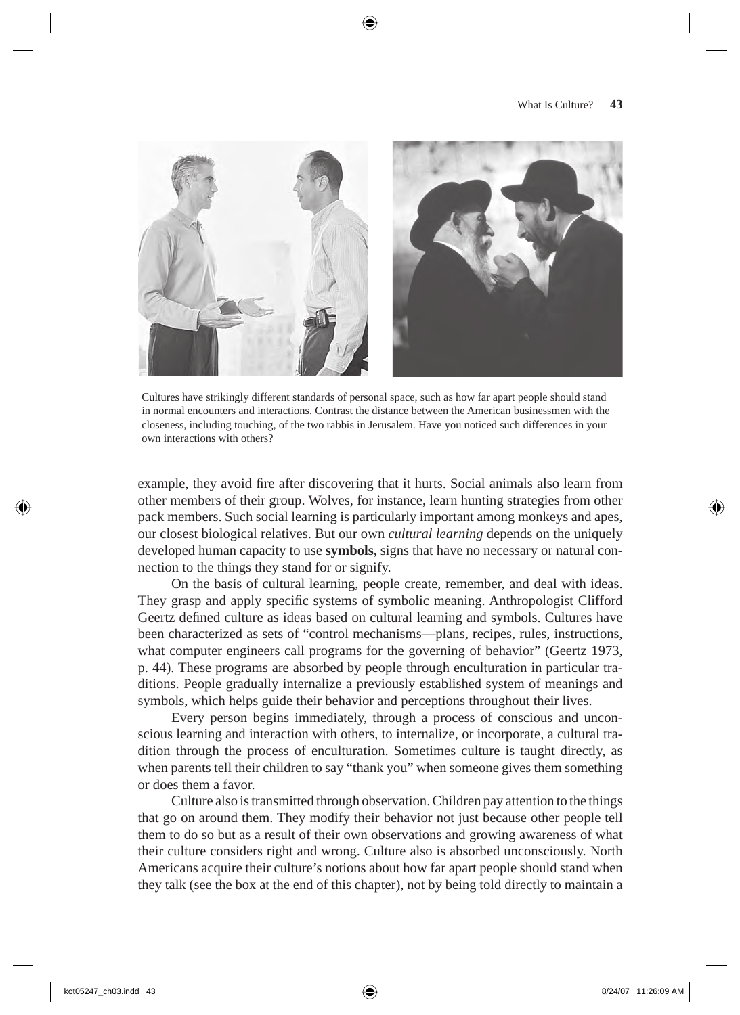

 Cultures have strikingly different standards of personal space, such as how far apart people should stand in normal encounters and interactions. Contrast the distance between the American businessmen with the closeness, including touching, of the two rabbis in Jerusalem. Have you noticed such differences in your own interactions with others?

example, they avoid fire after discovering that it hurts. Social animals also learn from other members of their group. Wolves, for instance, learn hunting strategies from other pack members. Such social learning is particularly important among monkeys and apes, our closest biological relatives. But our own *cultural learning* depends on the uniquely developed human capacity to use symbols, signs that have no necessary or natural connection to the things they stand for or signify.

 On the basis of cultural learning, people create, remember, and deal with ideas. They grasp and apply specific systems of symbolic meaning. Anthropologist Clifford Geertz defined culture as ideas based on cultural learning and symbols. Cultures have been characterized as sets of "control mechanisms—plans, recipes, rules, instructions, what computer engineers call programs for the governing of behavior" (Geertz 1973, p. 44). These programs are absorbed by people through enculturation in particular traditions. People gradually internalize a previously established system of meanings and symbols, which helps guide their behavior and perceptions throughout their lives.

 Every person begins immediately, through a process of conscious and unconscious learning and interaction with others, to internalize, or incorporate, a cultural tradition through the process of enculturation. Sometimes culture is taught directly, as when parents tell their children to say "thank you" when someone gives them something or does them a favor.

 Culture also is transmitted through observation. Children pay attention to the things that go on around them. They modify their behavior not just because other people tell them to do so but as a result of their own observations and growing awareness of what their culture considers right and wrong. Culture also is absorbed unconsciously. North Americans acquire their culture's notions about how far apart people should stand when they talk (see the box at the end of this chapter), not by being told directly to maintain a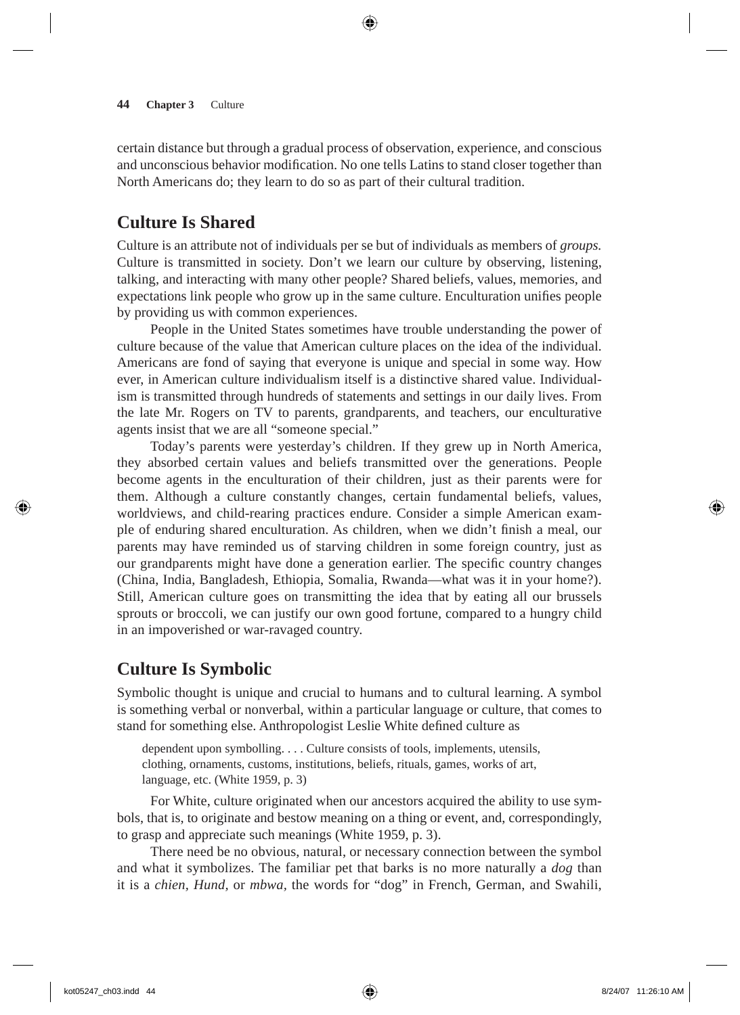certain distance but through a gradual process of observation, experience, and conscious and unconscious behavior modification. No one tells Latins to stand closer together than North Americans do; they learn to do so as part of their cultural tradition.

### **Culture Is Shared**

 Culture is an attribute not of individuals per se but of individuals as members of *groups.* Culture is transmitted in society. Don't we learn our culture by observing, listening, talking, and interacting with many other people? Shared beliefs, values, memories, and expectations link people who grow up in the same culture. Enculturation unifies people by providing us with common experiences.

 People in the United States sometimes have trouble understanding the power of culture because of the value that American culture places on the idea of the individual. Americans are fond of saying that everyone is unique and special in some way. How ever, in American culture individualism itself is a distinctive shared value. Individualism is transmitted through hundreds of statements and settings in our daily lives. From the late Mr. Rogers on TV to parents, grandparents, and teachers, our enculturative agents insist that we are all "someone special."

 Today's parents were yesterday's children. If they grew up in North America, they absorbed certain values and beliefs transmitted over the generations. People become agents in the enculturation of their children, just as their parents were for them. Although a culture constantly changes, certain fundamental beliefs, values, worldviews, and child-rearing practices endure. Consider a simple American example of enduring shared enculturation. As children, when we didn't finish a meal, our parents may have reminded us of starving children in some foreign country, just as our grandparents might have done a generation earlier. The specific country changes (China, India, Bangladesh, Ethiopia, Somalia, Rwanda—what was it in your home?). Still, American culture goes on transmitting the idea that by eating all our brussels sprouts or broccoli, we can justify our own good fortune, compared to a hungry child in an impoverished or war-ravaged country.

#### **Culture Is Symbolic**

 Symbolic thought is unique and crucial to humans and to cultural learning. A symbol is something verbal or nonverbal, within a particular language or culture, that comes to stand for something else. Anthropologist Leslie White defined culture as

 dependent upon symbolling. . . . Culture consists of tools, implements, utensils, clothing, ornaments, customs, institutions, beliefs, rituals, games, works of art, language, etc. (White 1959, p. 3)

 For White, culture originated when our ancestors acquired the ability to use symbols, that is, to originate and bestow meaning on a thing or event, and, correspondingly, to grasp and appreciate such meanings (White 1959, p. 3).

 There need be no obvious, natural, or necessary connection between the symbol and what it symbolizes. The familiar pet that barks is no more naturally a *dog* than it is a *chien, Hund,* or *mbwa,* the words for "dog" in French, German, and Swahili,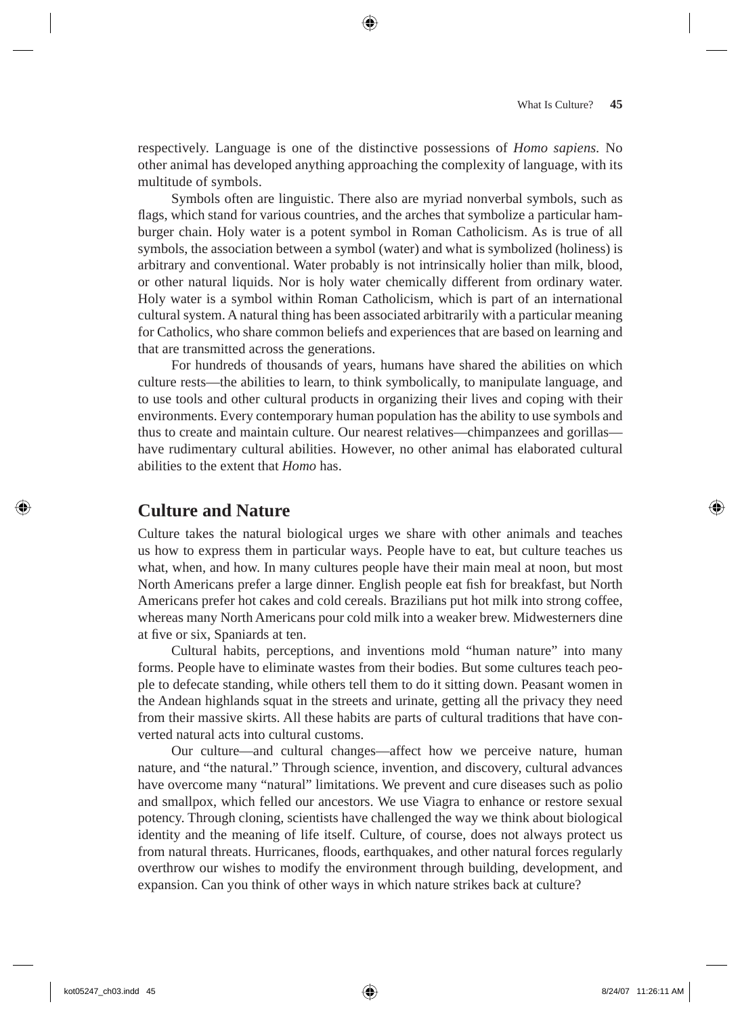respectively. Language is one of the distinctive possessions of *Homo sapiens.* No other animal has developed anything approaching the complexity of language, with its multitude of symbols.

 Symbols often are linguistic. There also are myriad nonverbal symbols, such as flags, which stand for various countries, and the arches that symbolize a particular hamburger chain. Holy water is a potent symbol in Roman Catholicism. As is true of all symbols, the association between a symbol (water) and what is symbolized (holiness) is arbitrary and conventional. Water probably is not intrinsically holier than milk, blood, or other natural liquids. Nor is holy water chemically different from ordinary water. Holy water is a symbol within Roman Catholicism, which is part of an international cultural system. A natural thing has been associated arbitrarily with a particular meaning for Catholics, who share common beliefs and experiences that are based on learning and that are transmitted across the generations.

 For hundreds of thousands of years, humans have shared the abilities on which culture rests—the abilities to learn, to think symbolically, to manipulate language, and to use tools and other cultural products in organizing their lives and coping with their environments. Every contemporary human population has the ability to use symbols and thus to create and maintain culture. Our nearest relatives—chimpanzees and gorillas have rudimentary cultural abilities. However, no other animal has elaborated cultural abilities to the extent that *Homo* has.

#### **Culture and Nature**

 Culture takes the natural biological urges we share with other animals and teaches us how to express them in particular ways. People have to eat, but culture teaches us what, when, and how. In many cultures people have their main meal at noon, but most North Americans prefer a large dinner. English people eat fish for breakfast, but North Americans prefer hot cakes and cold cereals. Brazilians put hot milk into strong coffee, whereas many North Americans pour cold milk into a weaker brew. Midwesterners dine at five or six, Spaniards at ten.

 Cultural habits, perceptions, and inventions mold "human nature" into many forms. People have to eliminate wastes from their bodies. But some cultures teach people to defecate standing, while others tell them to do it sitting down. Peasant women in the Andean highlands squat in the streets and urinate, getting all the privacy they need from their massive skirts. All these habits are parts of cultural traditions that have converted natural acts into cultural customs.

 Our culture—and cultural changes—affect how we perceive nature, human nature, and "the natural." Through science, invention, and discovery, cultural advances have overcome many "natural" limitations. We prevent and cure diseases such as polio and smallpox, which felled our ancestors. We use Viagra to enhance or restore sexual potency. Through cloning, scientists have challenged the way we think about biological identity and the meaning of life itself. Culture, of course, does not always protect us from natural threats. Hurricanes, floods, earthquakes, and other natural forces regularly overthrow our wishes to modify the environment through building, development, and expansion. Can you think of other ways in which nature strikes back at culture?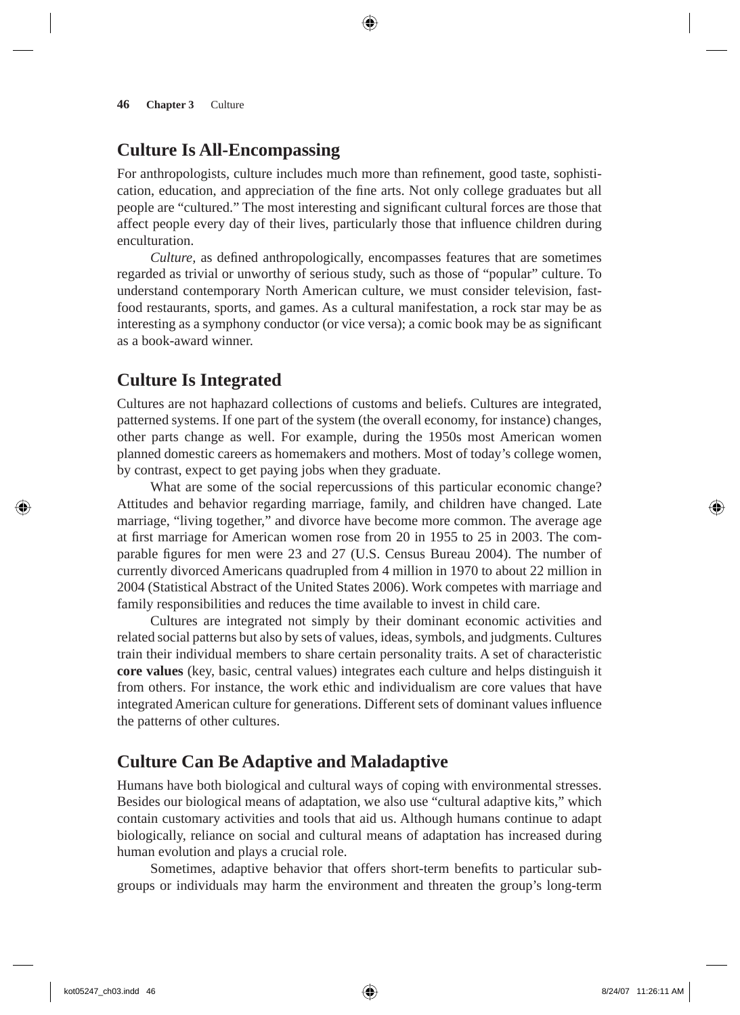#### **Culture Is All-Encompassing**

For anthropologists, culture includes much more than refinement, good taste, sophistication, education, and appreciation of the fine arts. Not only college graduates but all people are "cultured." The most interesting and significant cultural forces are those that affect people every day of their lives, particularly those that influence children during enculturation.

*Culture*, as defined anthropologically, encompasses features that are sometimes regarded as trivial or unworthy of serious study, such as those of "popular" culture. To understand contemporary North American culture, we must consider television, fastfood restaurants, sports, and games. As a cultural manifestation, a rock star may be as interesting as a symphony conductor (or vice versa); a comic book may be as significant as a book-award winner.

#### **Culture Is Integrated**

 Cultures are not haphazard collections of customs and beliefs. Cultures are integrated, patterned systems. If one part of the system (the overall economy, for instance) changes, other parts change as well. For example, during the 1950s most American women planned domestic careers as homemakers and mothers. Most of today's college women, by contrast, expect to get paying jobs when they graduate.

What are some of the social repercussions of this particular economic change? Attitudes and behavior regarding marriage, family, and children have changed. Late marriage, "living together," and divorce have become more common. The average age at first marriage for American women rose from 20 in 1955 to 25 in 2003. The comparable figures for men were 23 and 27 (U.S. Census Bureau 2004). The number of currently divorced Americans quadrupled from 4 million in 1970 to about 22 million in 2004 (Statistical Abstract of the United States 2006). Work competes with marriage and family responsibilities and reduces the time available to invest in child care.

 Cultures are integrated not simply by their dominant economic activities and related social patterns but also by sets of values, ideas, symbols, and judgments. Cultures train their individual members to share certain personality traits. A set of characteristic **core values** (key, basic, central values) integrates each culture and helps distinguish it from others. For instance, the work ethic and individualism are core values that have integrated American culture for generations. Different sets of dominant values influence the patterns of other cultures.

#### **Culture Can Be Adaptive and Maladaptive**

 Humans have both biological and cultural ways of coping with environmental stresses. Besides our biological means of adaptation, we also use "cultural adaptive kits," which contain customary activities and tools that aid us. Although humans continue to adapt biologically, reliance on social and cultural means of adaptation has increased during human evolution and plays a crucial role.

Sometimes, adaptive behavior that offers short-term benefits to particular subgroups or individuals may harm the environment and threaten the group's long-term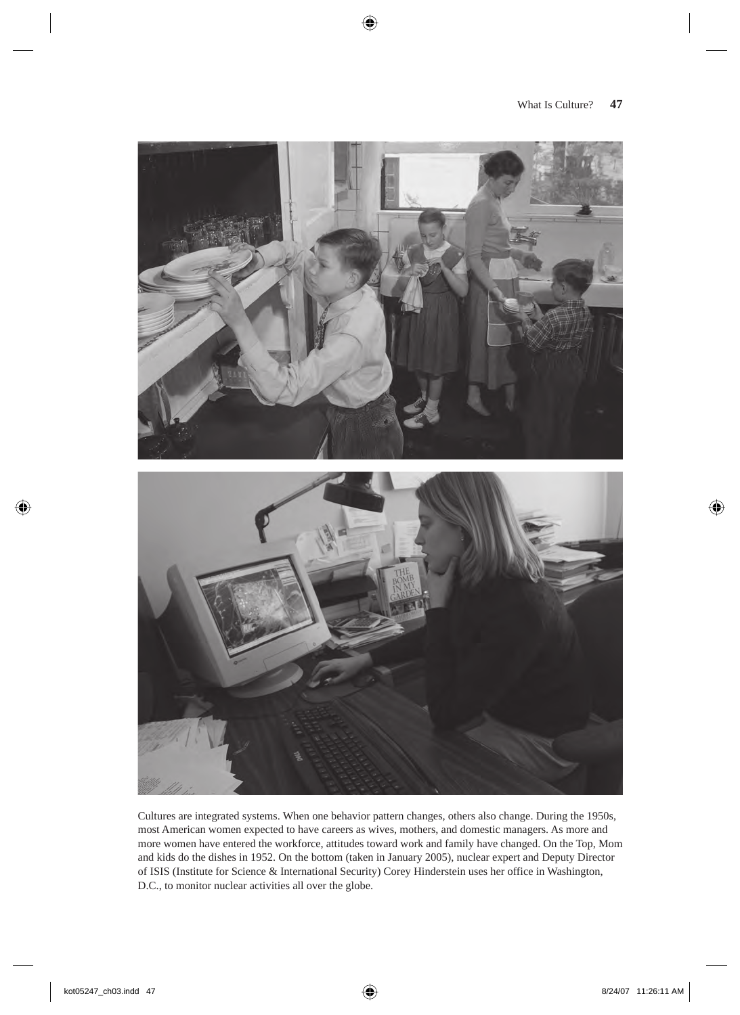

 Cultures are integrated systems. When one behavior pattern changes, others also change. During the 1950s, most American women expected to have careers as wives, mothers, and domestic managers. As more and more women have entered the workforce, attitudes toward work and family have changed. On the Top, Mom and kids do the dishes in 1952. On the bottom (taken in January 2005), nuclear expert and Deputy Director of ISIS (Institute for Science & International Security) Corey Hinderstein uses her office in Washington, D.C., to monitor nuclear activities all over the globe.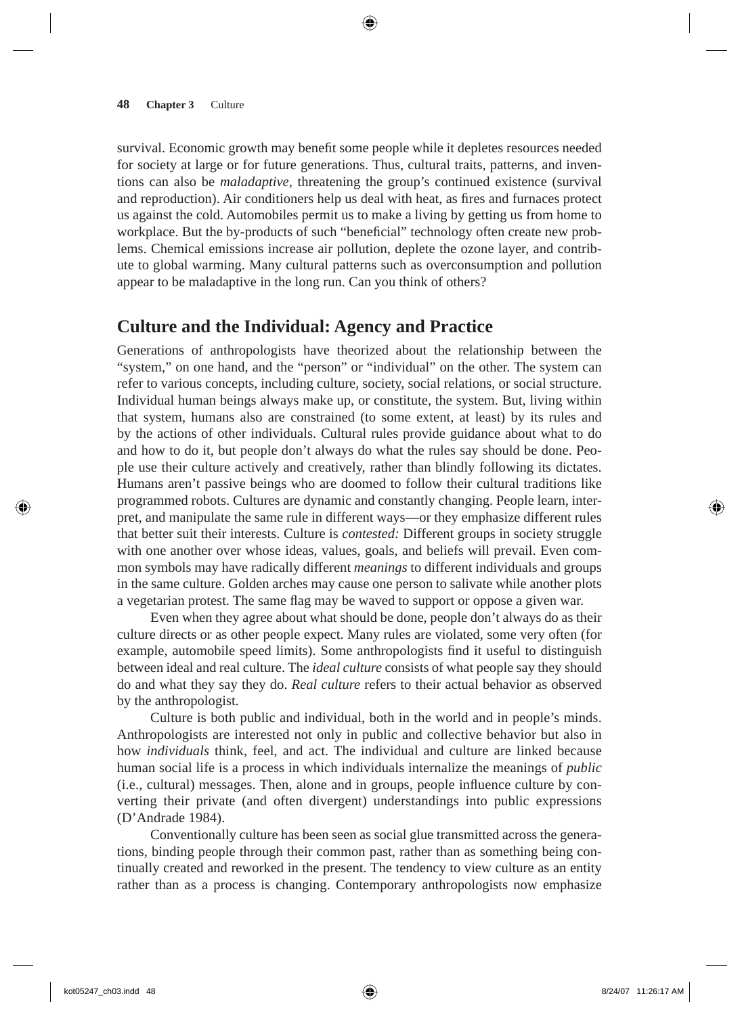survival. Economic growth may benefit some people while it depletes resources needed for society at large or for future generations. Thus, cultural traits, patterns, and inventions can also be *maladaptive,* threatening the group's continued existence (survival and reproduction). Air conditioners help us deal with heat, as fires and furnaces protect us against the cold. Automobiles permit us to make a living by getting us from home to workplace. But the by-products of such "beneficial" technology often create new problems. Chemical emissions increase air pollution, deplete the ozone layer, and contribute to global warming. Many cultural patterns such as overconsumption and pollution appear to be maladaptive in the long run. Can you think of others?

#### **Culture and the Individual: Agency and Practice**

 Generations of anthropologists have theorized about the relationship between the "system," on one hand, and the "person" or "individual" on the other. The system can refer to various concepts, including culture, society, social relations, or social structure. Individual human beings always make up, or constitute, the system. But, living within that system, humans also are constrained (to some extent, at least) by its rules and by the actions of other individuals. Cultural rules provide guidance about what to do and how to do it, but people don't always do what the rules say should be done. People use their culture actively and creatively, rather than blindly following its dictates. Humans aren't passive beings who are doomed to follow their cultural traditions like programmed robots. Cultures are dynamic and constantly changing. People learn, interpret, and manipulate the same rule in different ways—or they emphasize different rules that better suit their interests. Culture is *contested:* Different groups in society struggle with one another over whose ideas, values, goals, and beliefs will prevail. Even common symbols may have radically different *meanings* to different individuals and groups in the same culture. Golden arches may cause one person to salivate while another plots a vegetarian protest. The same flag may be waved to support or oppose a given war.

 Even when they agree about what should be done, people don't always do as their culture directs or as other people expect. Many rules are violated, some very often (for example, automobile speed limits). Some anthropologists find it useful to distinguish between ideal and real culture. The *ideal culture* consists of what people say they should do and what they say they do. *Real culture* refers to their actual behavior as observed by the anthropologist.

 Culture is both public and individual, both in the world and in people's minds. Anthropologists are interested not only in public and collective behavior but also in how *individuals* think, feel, and act. The individual and culture are linked because human social life is a process in which individuals internalize the meanings of *public* (i.e., cultural) messages. Then, alone and in groups, people influence culture by converting their private (and often divergent) understandings into public expressions (D'Andrade 1984).

 Conventionally culture has been seen as social glue transmitted across the generations, binding people through their common past, rather than as something being continually created and reworked in the present. The tendency to view culture as an entity rather than as a process is changing. Contemporary anthropologists now emphasize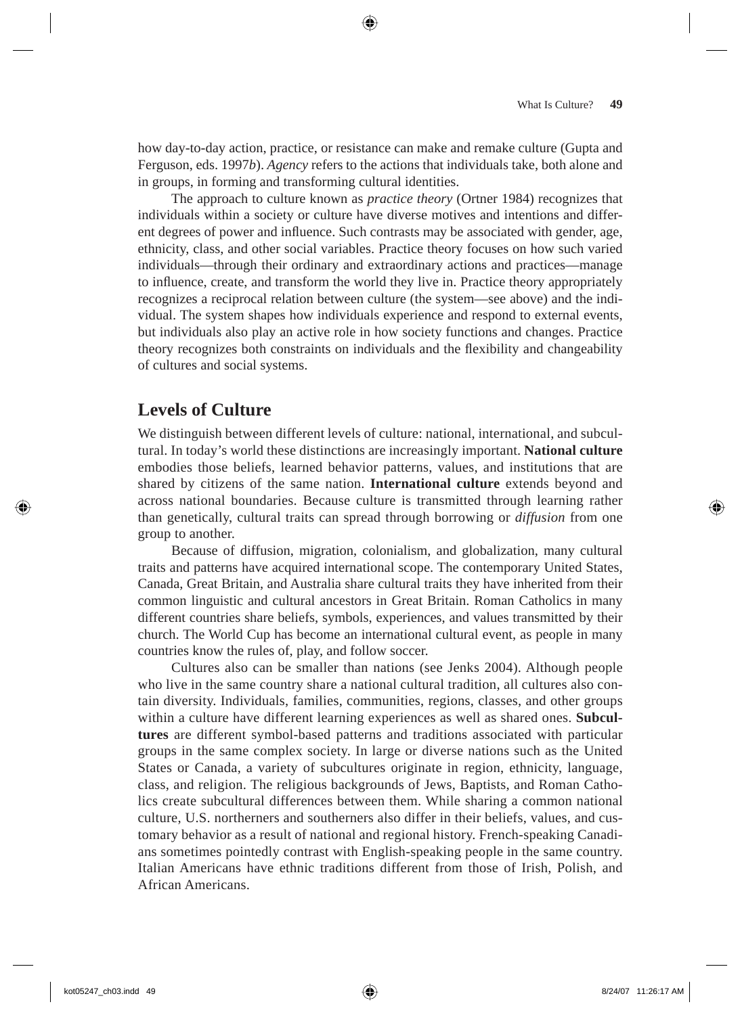how day-to-day action, practice, or resistance can make and remake culture (Gupta and Ferguson, eds. 1997*b*). *Agency* refers to the actions that individuals take, both alone and in groups, in forming and transforming cultural identities.

 The approach to culture known as *practice theory* (Ortner 1984) recognizes that individuals within a society or culture have diverse motives and intentions and different degrees of power and influence. Such contrasts may be associated with gender, age, ethnicity, class, and other social variables. Practice theory focuses on how such varied individuals—through their ordinary and extraordinary actions and practices—manage to influence, create, and transform the world they live in. Practice theory appropriately recognizes a reciprocal relation between culture (the system—see above) and the individual. The system shapes how individuals experience and respond to external events, but individuals also play an active role in how society functions and changes. Practice theory recognizes both constraints on individuals and the flexibility and changeability of cultures and social systems.

#### **Levels of Culture**

 We distinguish between different levels of culture: national, international, and subcultural. In today's world these distinctions are increasingly important. **National culture** embodies those beliefs, learned behavior patterns, values, and institutions that are shared by citizens of the same nation. **International culture** extends beyond and across national boundaries. Because culture is transmitted through learning rather than genetically, cultural traits can spread through borrowing or *diffusion* from one group to another.

 Because of diffusion, migration, colonialism, and globalization, many cultural traits and patterns have acquired international scope. The contemporary United States, Canada, Great Britain, and Australia share cultural traits they have inherited from their common linguistic and cultural ancestors in Great Britain. Roman Catholics in many different countries share beliefs, symbols, experiences, and values transmitted by their church. The World Cup has become an international cultural event, as people in many countries know the rules of, play, and follow soccer.

 Cultures also can be smaller than nations (see Jenks 2004). Although people who live in the same country share a national cultural tradition, all cultures also contain diversity. Individuals, families, communities, regions, classes, and other groups within a culture have different learning experiences as well as shared ones. **Subcultures** are different symbol-based patterns and traditions associated with particular groups in the same complex society. In large or diverse nations such as the United States or Canada, a variety of subcultures originate in region, ethnicity, language, class, and religion. The religious backgrounds of Jews, Baptists, and Roman Catholics create subcultural differences between them. While sharing a common national culture, U.S. northerners and southerners also differ in their beliefs, values, and customary behavior as a result of national and regional history. French-speaking Canadians sometimes pointedly contrast with English-speaking people in the same country. Italian Americans have ethnic traditions different from those of Irish, Polish, and African Americans.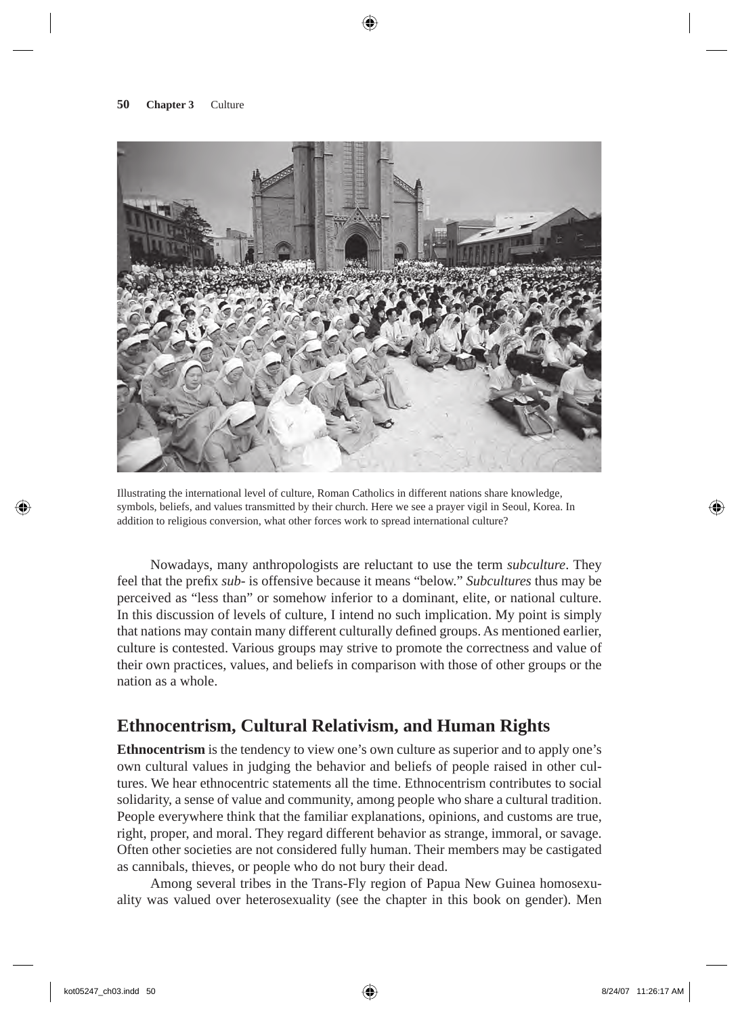

 Illustrating the international level of culture, Roman Catholics in different nations share knowledge, symbols, beliefs, and values transmitted by their church. Here we see a prayer vigil in Seoul, Korea. In addition to religious conversion, what other forces work to spread international culture?

 Nowadays, many anthropologists are reluctant to use the term *subculture* . They feel that the prefix *sub*- is offensive because it means "below." *Subcultures* thus may be perceived as "less than" or somehow inferior to a dominant, elite, or national culture. In this discussion of levels of culture, I intend no such implication. My point is simply that nations may contain many different culturally defined groups. As mentioned earlier, culture is contested. Various groups may strive to promote the correctness and value of their own practices, values, and beliefs in comparison with those of other groups or the nation as a whole.

#### **Ethnocentrism, Cultural Relativism, and Human Rights**

**Ethnocentrism** is the tendency to view one's own culture as superior and to apply one's own cultural values in judging the behavior and beliefs of people raised in other cultures. We hear ethnocentric statements all the time. Ethnocentrism contributes to social solidarity, a sense of value and community, among people who share a cultural tradition. People everywhere think that the familiar explanations, opinions, and customs are true, right, proper, and moral. They regard different behavior as strange, immoral, or savage. Often other societies are not considered fully human. Their members may be castigated as cannibals, thieves, or people who do not bury their dead.

 Among several tribes in the Trans-Fly region of Papua New Guinea homosexuality was valued over heterosexuality (see the chapter in this book on gender). Men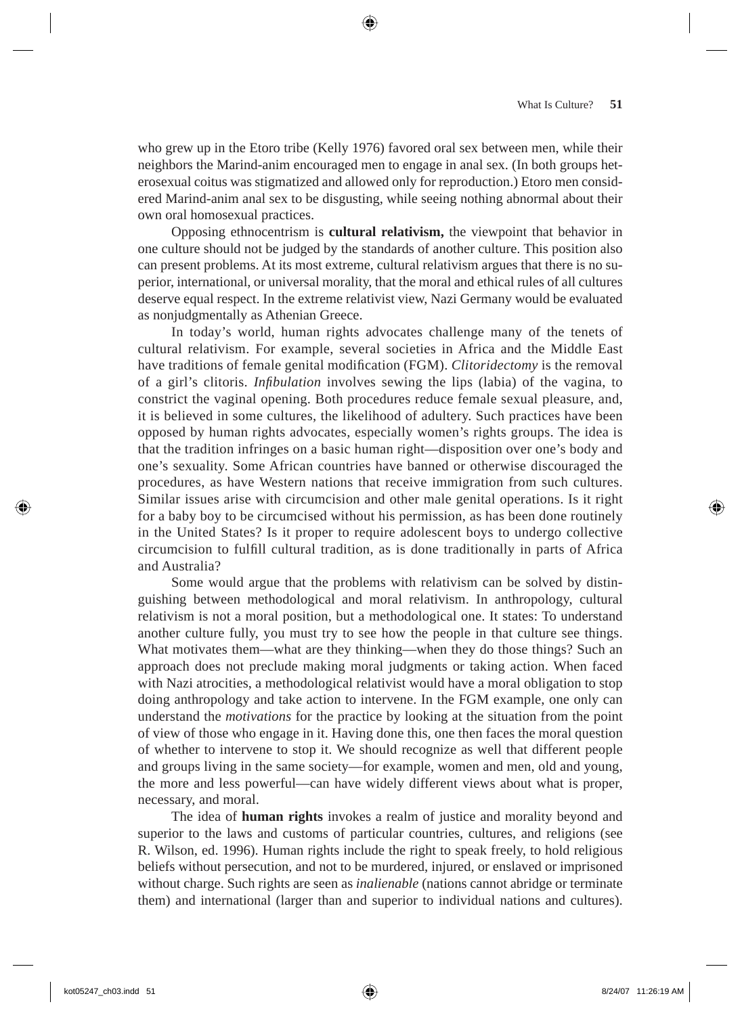who grew up in the Etoro tribe (Kelly 1976) favored oral sex between men, while their neighbors the Marind-anim encouraged men to engage in anal sex. (In both groups heterosexual coitus was stigmatized and allowed only for reproduction.) Etoro men considered Marind-anim anal sex to be disgusting, while seeing nothing abnormal about their own oral homosexual practices.

 Opposing ethnocentrism is **cultural relativism ,** the viewpoint that behavior in one culture should not be judged by the standards of another culture. This position also can present problems. At its most extreme, cultural relativism argues that there is no superior, international, or universal morality, that the moral and ethical rules of all cultures deserve equal respect. In the extreme relativist view, Nazi Germany would be evaluated as nonjudgmentally as Athenian Greece.

 In today's world, human rights advocates challenge many of the tenets of cultural relativism. For example, several societies in Africa and the Middle East have traditions of female genital modification (FGM). *Clitoridectomy* is the removal of a girl's clitoris. *Infibulation* involves sewing the lips (labia) of the vagina, to constrict the vaginal opening. Both procedures reduce female sexual pleasure, and, it is believed in some cultures, the likelihood of adultery. Such practices have been opposed by human rights advocates, especially women's rights groups. The idea is that the tradition infringes on a basic human right—disposition over one's body and one's sexuality. Some African countries have banned or otherwise discouraged the procedures, as have Western nations that receive immigration from such cultures. Similar issues arise with circumcision and other male genital operations. Is it right for a baby boy to be circumcised without his permission, as has been done routinely in the United States? Is it proper to require adolescent boys to undergo collective circumcision to fulfill cultural tradition, as is done traditionally in parts of Africa and Australia?

 Some would argue that the problems with relativism can be solved by distinguishing between methodological and moral relativism. In anthropology, cultural relativism is not a moral position, but a methodological one. It states: To understand another culture fully, you must try to see how the people in that culture see things. What motivates them—what are they thinking—when they do those things? Such an approach does not preclude making moral judgments or taking action. When faced with Nazi atrocities, a methodological relativist would have a moral obligation to stop doing anthropology and take action to intervene. In the FGM example, one only can understand the *motivations* for the practice by looking at the situation from the point of view of those who engage in it. Having done this, one then faces the moral question of whether to intervene to stop it. We should recognize as well that different people and groups living in the same society—for example, women and men, old and young, the more and less powerful—can have widely different views about what is proper, necessary, and moral.

 The idea of **human rights** invokes a realm of justice and morality beyond and superior to the laws and customs of particular countries, cultures, and religions (see R. Wilson, ed. 1996). Human rights include the right to speak freely, to hold religious beliefs without persecution, and not to be murdered, injured, or enslaved or imprisoned without charge. Such rights are seen as *inalienable* (nations cannot abridge or terminate them) and international (larger than and superior to individual nations and cultures).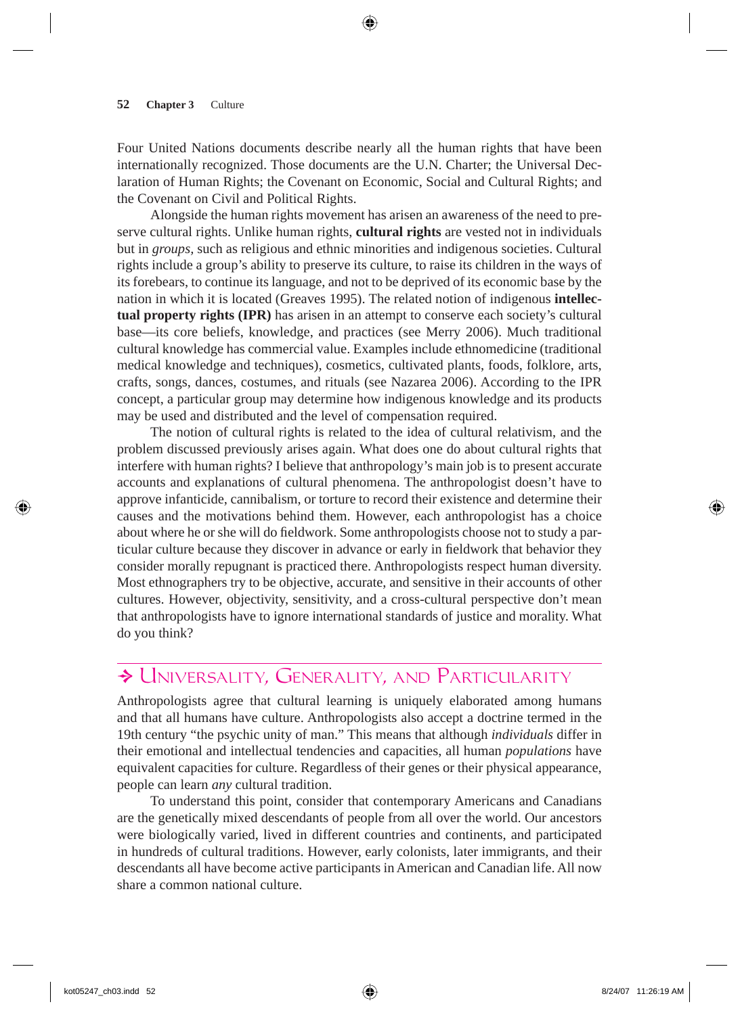Four United Nations documents describe nearly all the human rights that have been internationally recognized. Those documents are the U.N. Charter; the Universal Declaration of Human Rights; the Covenant on Economic, Social and Cultural Rights; and the Covenant on Civil and Political Rights.

 Alongside the human rights movement has arisen an awareness of the need to preserve cultural rights. Unlike human rights, **cultural rights** are vested not in individuals but in *groups,* such as religious and ethnic minorities and indigenous societies. Cultural rights include a group's ability to preserve its culture, to raise its children in the ways of its forebears, to continue its language, and not to be deprived of its economic base by the nation in which it is located (Greaves 1995). The related notion of indigenous **intellectual property rights (IPR)** has arisen in an attempt to conserve each society's cultural base—its core beliefs, knowledge, and practices (see Merry 2006). Much traditional cultural knowledge has commercial value. Examples include ethnomedicine (traditional medical knowledge and techniques), cosmetics, cultivated plants, foods, folklore, arts, crafts, songs, dances, costumes, and rituals (see Nazarea 2006). According to the IPR concept, a particular group may determine how indigenous knowledge and its products may be used and distributed and the level of compensation required.

 The notion of cultural rights is related to the idea of cultural relativism, and the problem discussed previously arises again. What does one do about cultural rights that interfere with human rights? I believe that anthropology's main job is to present accurate accounts and explanations of cultural phenomena. The anthropologist doesn't have to approve infanticide, cannibalism, or torture to record their existence and determine their causes and the motivations behind them. However, each anthropologist has a choice about where he or she will do fieldwork. Some anthropologists choose not to study a particular culture because they discover in advance or early in fieldwork that behavior they consider morally repugnant is practiced there. Anthropologists respect human diversity. Most ethnographers try to be objective, accurate, and sensitive in their accounts of other cultures. However, objectivity, sensitivity, and a cross-cultural perspective don't mean that anthropologists have to ignore international standards of justice and morality. What do you think?

### UNIVERSALITY, GENERALITY, AND PARTICULARITY

 Anthropologists agree that cultural learning is uniquely elaborated among humans and that all humans have culture. Anthropologists also accept a doctrine termed in the 19th century "the psychic unity of man." This means that although *individuals* differ in their emotional and intellectual tendencies and capacities, all human *populations* have equivalent capacities for culture. Regardless of their genes or their physical appearance, people can learn *any* cultural tradition.

 To understand this point, consider that contemporary Americans and Canadians are the genetically mixed descendants of people from all over the world. Our ancestors were biologically varied, lived in different countries and continents, and participated in hundreds of cultural traditions. However, early colonists, later immigrants, and their descendants all have become active participants in American and Canadian life. All now share a common national culture.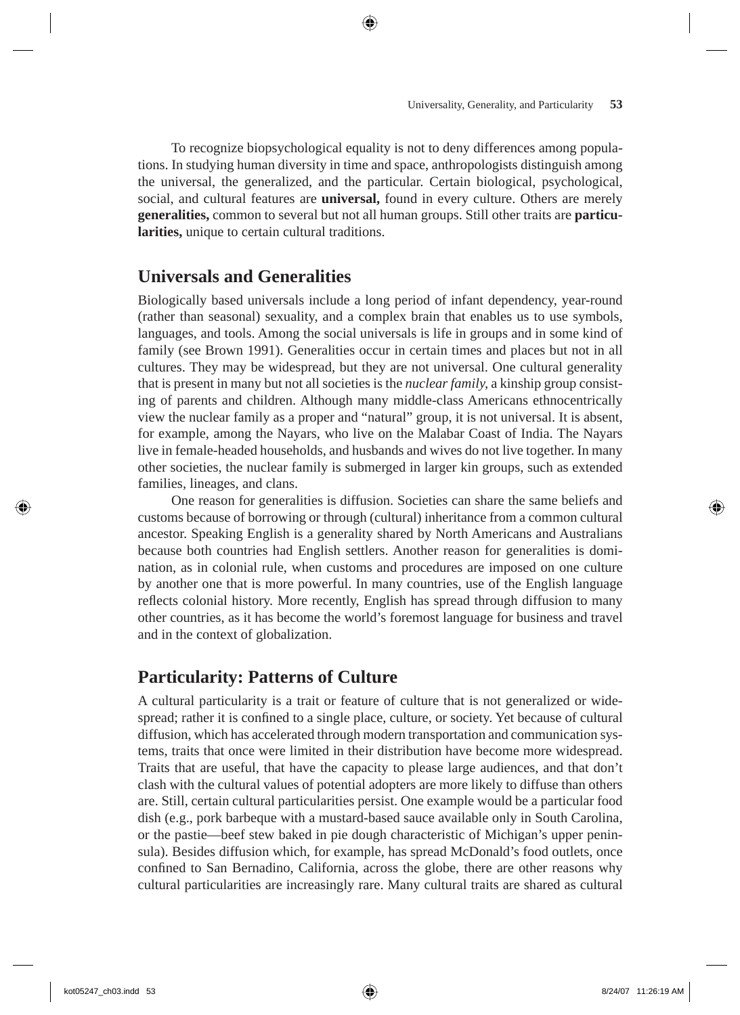To recognize biopsychological equality is not to deny differences among populations. In studying human diversity in time and space, anthropologists distinguish among the universal, the generalized, and the particular. Certain biological, psychological, social, and cultural features are **universal,** found in every culture. Others are merely **generalities,** common to several but not all human groups. Still other traits are **particularities,** unique to certain cultural traditions.

#### **Universals and Generalities**

 Biologically based universals include a long period of infant dependency, year-round (rather than seasonal) sexuality, and a complex brain that enables us to use symbols, languages, and tools. Among the social universals is life in groups and in some kind of family (see Brown 1991). Generalities occur in certain times and places but not in all cultures. They may be widespread, but they are not universal. One cultural generality that is present in many but not all societies is the *nuclear family ,* a kinship group consisting of parents and children. Although many middle-class Americans ethnocentrically view the nuclear family as a proper and "natural" group, it is not universal. It is absent, for example, among the Nayars, who live on the Malabar Coast of India. The Nayars live in female-headed households, and husbands and wives do not live together. In many other societies, the nuclear family is submerged in larger kin groups, such as extended families, lineages, and clans.

 One reason for generalities is diffusion. Societies can share the same beliefs and customs because of borrowing or through (cultural) inheritance from a common cultural ancestor. Speaking English is a generality shared by North Americans and Australians because both countries had English settlers. Another reason for generalities is domination, as in colonial rule, when customs and procedures are imposed on one culture by another one that is more powerful. In many countries, use of the English language reflects colonial history. More recently, English has spread through diffusion to many other countries, as it has become the world's foremost language for business and travel and in the context of globalization.

#### **Particularity: Patterns of Culture**

 A cultural particularity is a trait or feature of culture that is not generalized or widespread; rather it is confined to a single place, culture, or society. Yet because of cultural diffusion, which has accelerated through modern transportation and communication systems, traits that once were limited in their distribution have become more widespread. Traits that are useful, that have the capacity to please large audiences, and that don't clash with the cultural values of potential adopters are more likely to diffuse than others are. Still, certain cultural particularities persist. One example would be a particular food dish (e.g., pork barbeque with a mustard-based sauce available only in South Carolina, or the pastie—beef stew baked in pie dough characteristic of Michigan's upper peninsula). Besides diffusion which, for example, has spread McDonald's food outlets, once confined to San Bernadino, California, across the globe, there are other reasons why cultural particularities are increasingly rare. Many cultural traits are shared as cultural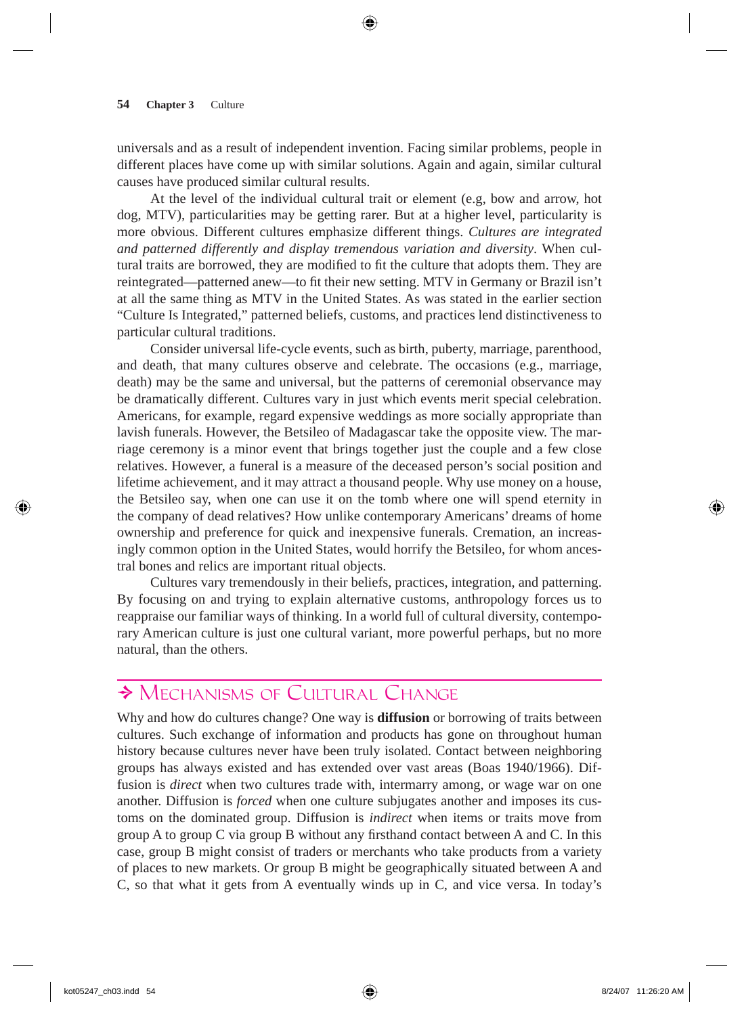universals and as a result of independent invention. Facing similar problems, people in different places have come up with similar solutions. Again and again, similar cultural causes have produced similar cultural results.

 At the level of the individual cultural trait or element (e.g, bow and arrow, hot dog, MTV), particularities may be getting rarer. But at a higher level, particularity is more obvious. Different cultures emphasize different things. *Cultures are integrated and patterned differently and display tremendous variation and diversity* . When cultural traits are borrowed, they are modified to fit the culture that adopts them. They are reintegrated—patterned anew—to fit their new setting. MTV in Germany or Brazil isn't at all the same thing as MTV in the United States. As was stated in the earlier section "Culture Is Integrated," patterned beliefs, customs, and practices lend distinctiveness to particular cultural traditions.

 Consider universal life-cycle events, such as birth, puberty, marriage, parenthood, and death, that many cultures observe and celebrate. The occasions (e.g., marriage, death) may be the same and universal, but the patterns of ceremonial observance may be dramatically different. Cultures vary in just which events merit special celebration. Americans, for example, regard expensive weddings as more socially appropriate than lavish funerals. However, the Betsileo of Madagascar take the opposite view. The marriage ceremony is a minor event that brings together just the couple and a few close relatives. However, a funeral is a measure of the deceased person's social position and lifetime achievement, and it may attract a thousand people. Why use money on a house, the Betsileo say, when one can use it on the tomb where one will spend eternity in the company of dead relatives? How unlike contemporary Americans' dreams of home ownership and preference for quick and inexpensive funerals. Cremation, an increasingly common option in the United States, would horrify the Betsileo, for whom ancestral bones and relics are important ritual objects.

 Cultures vary tremendously in their beliefs, practices, integration, and patterning. By focusing on and trying to explain alternative customs, anthropology forces us to reappraise our familiar ways of thinking. In a world full of cultural diversity, contemporary American culture is just one cultural variant, more powerful perhaps, but no more natural, than the others.

#### **> MECHANISMS OF CULTURAL CHANGE**

 Why and how do cultures change? One way is **diffusion** or borrowing of traits between cultures. Such exchange of information and products has gone on throughout human history because cultures never have been truly isolated. Contact between neighboring groups has always existed and has extended over vast areas (Boas 1940/1966). Diffusion is *direct* when two cultures trade with, intermarry among, or wage war on one another. Diffusion is *forced* when one culture subjugates another and imposes its customs on the dominated group. Diffusion is *indirect* when items or traits move from group A to group  $C$  via group B without any firsthand contact between A and  $C$ . In this case, group B might consist of traders or merchants who take products from a variety of places to new markets. Or group B might be geographically situated between A and C, so that what it gets from A eventually winds up in C, and vice versa. In today's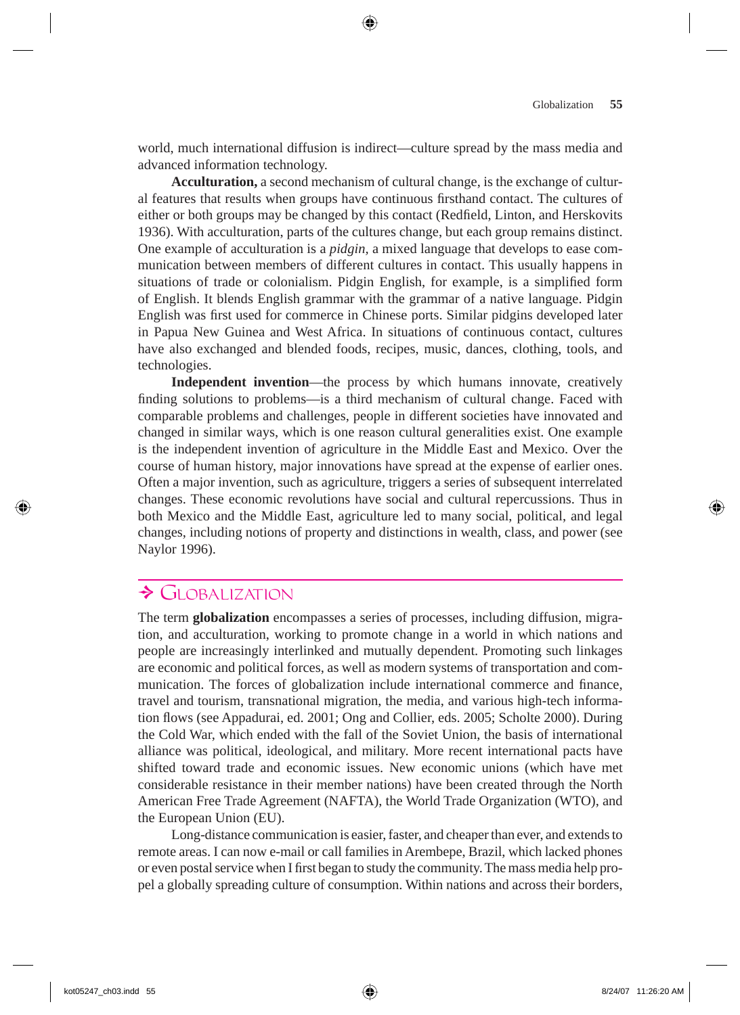world, much international diffusion is indirect—culture spread by the mass media and advanced information technology.

**Acculturation,** a second mechanism of cultural change, is the exchange of cultural features that results when groups have continuous firsthand contact. The cultures of either or both groups may be changed by this contact (Redfield, Linton, and Herskovits 1936). With acculturation, parts of the cultures change, but each group remains distinct. One example of acculturation is a *pidgin*, a mixed language that develops to ease communication between members of different cultures in contact. This usually happens in situations of trade or colonialism. Pidgin English, for example, is a simplified form of English. It blends English grammar with the grammar of a native language. Pidgin English was first used for commerce in Chinese ports. Similar pidgins developed later in Papua New Guinea and West Africa. In situations of continuous contact, cultures have also exchanged and blended foods, recipes, music, dances, clothing, tools, and technologies.

**Independent invention—the process by which humans innovate, creatively** finding solutions to problems—is a third mechanism of cultural change. Faced with comparable problems and challenges, people in different societies have innovated and changed in similar ways, which is one reason cultural generalities exist. One example is the independent invention of agriculture in the Middle East and Mexico. Over the course of human history, major innovations have spread at the expense of earlier ones. Often a major invention, such as agriculture, triggers a series of subsequent interrelated changes. These economic revolutions have social and cultural repercussions. Thus in both Mexico and the Middle East, agriculture led to many social, political, and legal changes, including notions of property and distinctions in wealth, class, and power (see Naylor 1996).

#### **→ GLOBALIZATION**

 The term **globalization** encompasses a series of processes, including diffusion, migration, and acculturation, working to promote change in a world in which nations and people are increasingly interlinked and mutually dependent. Promoting such linkages are economic and political forces, as well as modern systems of transportation and communication. The forces of globalization include international commerce and finance, travel and tourism, transnational migration, the media, and various high-tech information flows (see Appadurai, ed. 2001; Ong and Collier, eds. 2005; Scholte 2000). During the Cold War, which ended with the fall of the Soviet Union, the basis of international alliance was political, ideological, and military. More recent international pacts have shifted toward trade and economic issues. New economic unions (which have met considerable resistance in their member nations) have been created through the North American Free Trade Agreement (NAFTA), the World Trade Organization (WTO), and the European Union (EU).

 Long-distance communication is easier, faster, and cheaper than ever, and extends to remote areas. I can now e-mail or call families in Arembepe, Brazil, which lacked phones or even postal service when I first began to study the community. The mass media help propel a globally spreading culture of consumption. Within nations and across their borders,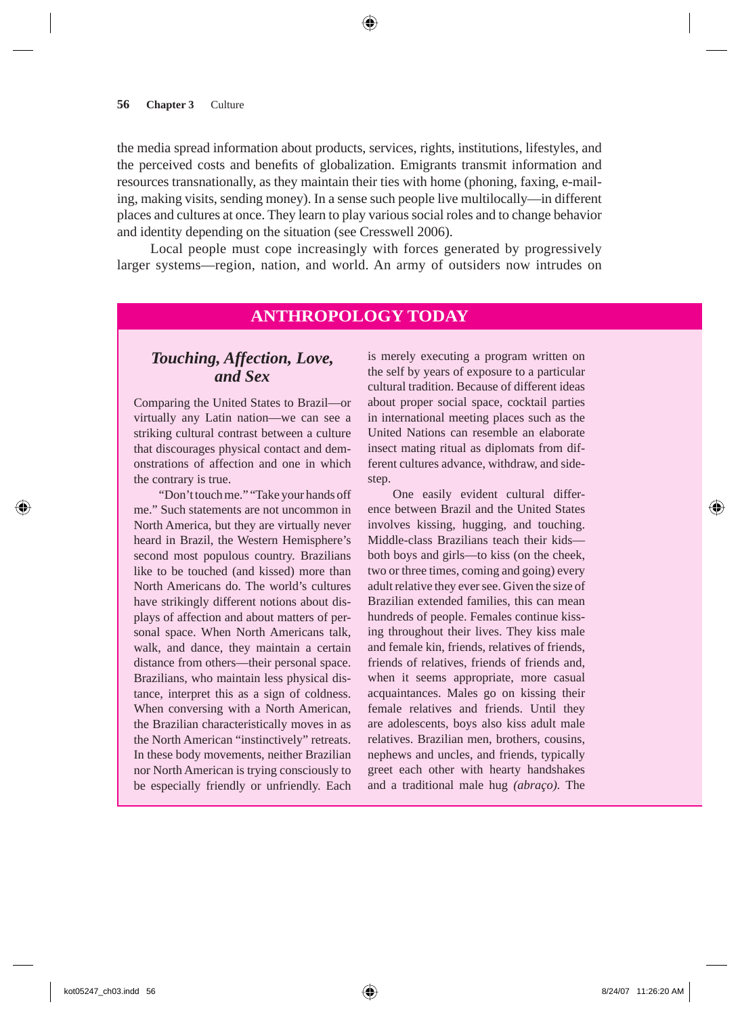the media spread information about products, services, rights, institutions, lifestyles, and the perceived costs and benefits of globalization. Emigrants transmit information and resources transnationally, as they maintain their ties with home (phoning, faxing, e-mailing, making visits, sending money). In a sense such people live multilocally—in different places and cultures at once. They learn to play various social roles and to change behavior and identity depending on the situation (see Cresswell 2006).

 Local people must cope increasingly with forces generated by progressively larger systems—region, nation, and world. An army of outsiders now intrudes on

#### **ANTHROPOLOGY TODAY**

#### *Touching, Affection, Love, and Sex*

 Comparing the United States to Brazil—or virtually any Latin nation—we can see a striking cultural contrast between a culture that discourages physical contact and demonstrations of affection and one in which the contrary is true.

 "Don't touch me." "Take your hands off me." Such statements are not uncommon in North America, but they are virtually never heard in Brazil, the Western Hemisphere's second most populous country. Brazilians like to be touched (and kissed) more than North Americans do. The world's cultures have strikingly different notions about displays of affection and about matters of personal space. When North Americans talk, walk, and dance, they maintain a certain distance from others—their personal space. Brazilians, who maintain less physical distance, interpret this as a sign of coldness. When conversing with a North American, the Brazilian characteristically moves in as the North American "instinctively" retreats. In these body movements, neither Brazilian nor North American is trying consciously to be especially friendly or unfriendly. Each

is merely executing a program written on the self by years of exposure to a particular cultural tradition. Because of different ideas about proper social space, cocktail parties in international meeting places such as the United Nations can resemble an elaborate insect mating ritual as diplomats from different cultures advance, withdraw, and sidestep.

 One easily evident cultural difference between Brazil and the United States involves kissing, hugging, and touching. Middle-class Brazilians teach their kids both boys and girls—to kiss (on the cheek, two or three times, coming and going) every adult relative they ever see. Given the size of Brazilian extended families, this can mean hundreds of people. Females continue kissing throughout their lives. They kiss male and female kin, friends, relatives of friends, friends of relatives, friends of friends and, when it seems appropriate, more casual acquaintances. Males go on kissing their female relatives and friends. Until they are adolescents, boys also kiss adult male relatives. Brazilian men, brothers, cousins, nephews and uncles, and friends, typically greet each other with hearty handshakes and a traditional male hug *(abraço).* The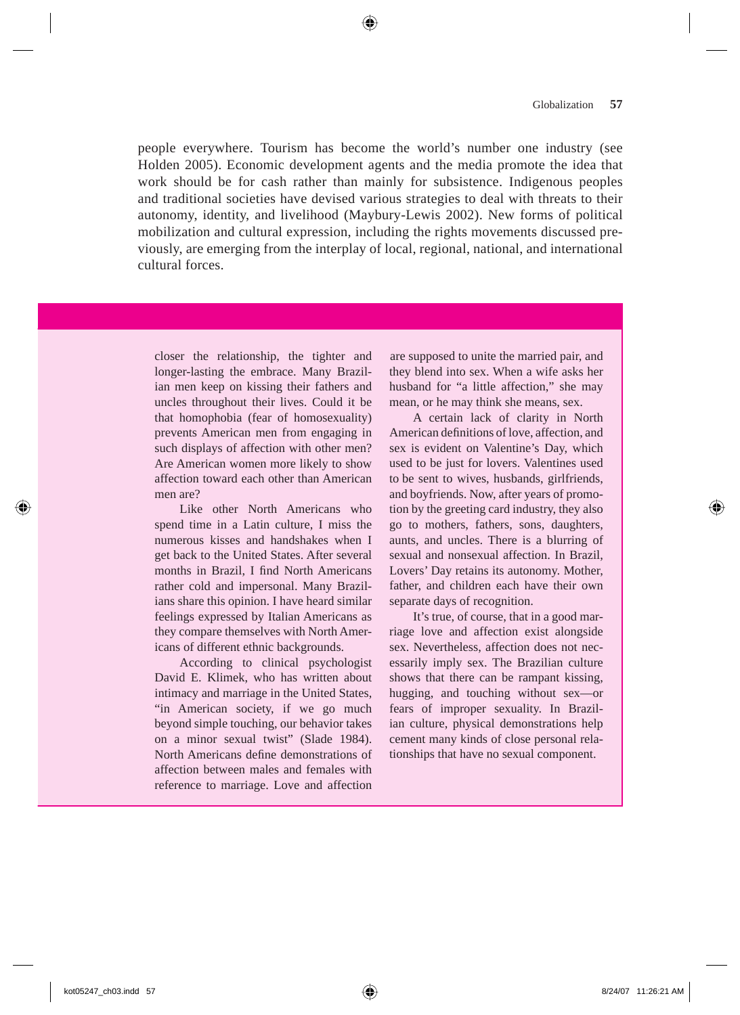people everywhere. Tourism has become the world's number one industry (see Holden 2005). Economic development agents and the media promote the idea that work should be for cash rather than mainly for subsistence. Indigenous peoples and traditional societies have devised various strategies to deal with threats to their autonomy, identity, and livelihood (Maybury-Lewis 2002). New forms of political mobilization and cultural expression, including the rights movements discussed previously, are emerging from the interplay of local, regional, national, and international cultural forces.

closer the relationship, the tighter and longer-lasting the embrace. Many Brazilian men keep on kissing their fathers and uncles throughout their lives. Could it be that homophobia (fear of homosexuality) prevents American men from engaging in such displays of affection with other men? Are American women more likely to show affection toward each other than American men are?

 Like other North Americans who spend time in a Latin culture, I miss the numerous kisses and handshakes when I get back to the United States. After several months in Brazil, I find North Americans rather cold and impersonal. Many Brazilians share this opinion. I have heard similar feelings expressed by Italian Americans as they compare themselves with North Americans of different ethnic backgrounds.

 According to clinical psychologist David E. Klimek, who has written about intimacy and marriage in the United States, "in American society, if we go much beyond simple touching, our behavior takes on a minor sexual twist" (Slade 1984). North Americans define demonstrations of affection between males and females with reference to marriage. Love and affection are supposed to unite the married pair, and they blend into sex. When a wife asks her husband for "a little affection," she may mean, or he may think she means, sex.

 A certain lack of clarity in North American definitions of love, affection, and sex is evident on Valentine's Day, which used to be just for lovers. Valentines used to be sent to wives, husbands, girlfriends, and boyfriends. Now, after years of promotion by the greeting card industry, they also go to mothers, fathers, sons, daughters, aunts, and uncles. There is a blurring of sexual and nonsexual affection. In Brazil, Lovers' Day retains its autonomy. Mother, father, and children each have their own separate days of recognition.

 It's true, of course, that in a good marriage love and affection exist alongside sex. Nevertheless, affection does not necessarily imply sex. The Brazilian culture shows that there can be rampant kissing, hugging, and touching without sex—or fears of improper sexuality. In Brazilian culture, physical demonstrations help cement many kinds of close personal relationships that have no sexual component.